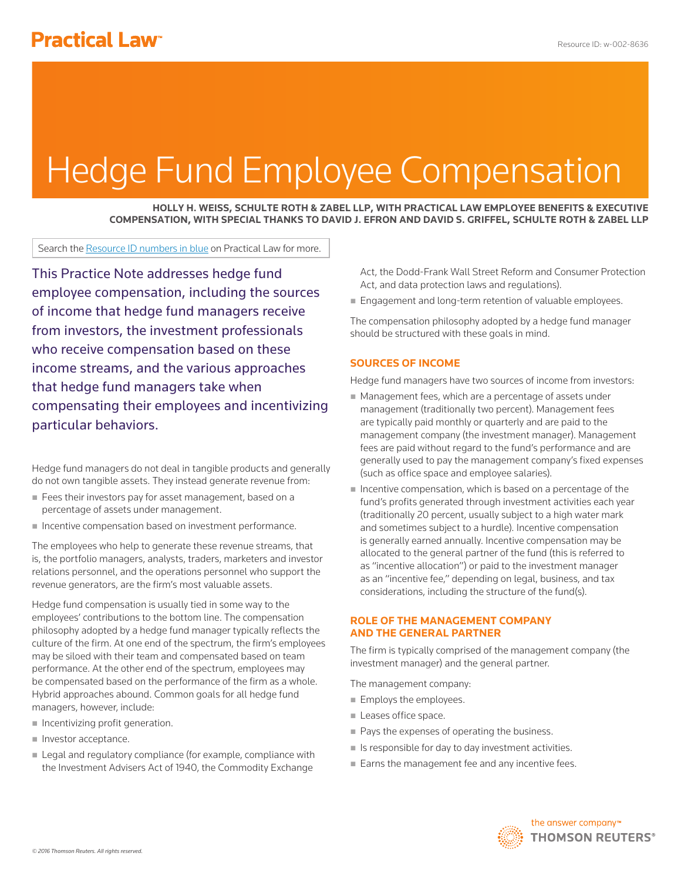# Hedge Fund Employee Compensation

**HOLLY H. WEISS, SCHULTE ROTH & ZABEL LLP, WITH PRACTICAL LAW EMPLOYEE BENEFITS & EXECUTIVE COMPENSATION, WITH SPECIAL THANKS TO DAVID J. EFRON AND DAVID S. GRIFFEL, SCHULTE ROTH & ZABEL LLP**

Search the Resource ID numbers in blue on Practical Law for more.

This Practice Note addresses hedge fund employee compensation, including the sources of income that hedge fund managers receive from investors, the investment professionals who receive compensation based on these income streams, and the various approaches that hedge fund managers take when compensating their employees and incentivizing particular behaviors.

Hedge fund managers do not deal in tangible products and generally do not own tangible assets. They instead generate revenue from:

- Fees their investors pay for asset management, based on a percentage of assets under management.
- Incentive compensation based on investment performance.

The employees who help to generate these revenue streams, that is, the portfolio managers, analysts, traders, marketers and investor relations personnel, and the operations personnel who support the revenue generators, are the firm's most valuable assets.

Hedge fund compensation is usually tied in some way to the employees' contributions to the bottom line. The compensation philosophy adopted by a hedge fund manager typically reflects the culture of the firm. At one end of the spectrum, the firm's employees may be siloed with their team and compensated based on team performance. At the other end of the spectrum, employees may be compensated based on the performance of the firm as a whole. Hybrid approaches abound. Common goals for all hedge fund managers, however, include:

- $\blacksquare$  Incentivizing profit generation.
- Investor acceptance.
- **Example 2** Legal and regulatory compliance (for example, compliance with the Investment Advisers Act of 1940, the Commodity Exchange

Act, the Dodd-Frank Wall Street Reform and Consumer Protection Act, and data protection laws and regulations).

**Engagement and long-term retention of valuable employees.** 

The compensation philosophy adopted by a hedge fund manager should be structured with these goals in mind.

## **SOURCES OF INCOME**

Hedge fund managers have two sources of income from investors:

- Management fees, which are a percentage of assets under management (traditionally two percent). Management fees are typically paid monthly or quarterly and are paid to the management company (the investment manager). Management fees are paid without regard to the fund's performance and are generally used to pay the management company's fixed expenses (such as office space and employee salaries).
- Incentive compensation, which is based on a percentage of the fund's profits generated through investment activities each year (traditionally 20 percent, usually subject to a high water mark and sometimes subject to a hurdle). Incentive compensation is generally earned annually. Incentive compensation may be allocated to the general partner of the fund (this is referred to as "incentive allocation") or paid to the investment manager as an "incentive fee," depending on legal, business, and tax considerations, including the structure of the fund(s).

## **ROLE OF THE MANAGEMENT COMPANY AND THE GENERAL PARTNER**

The firm is typically comprised of the management company (the investment manager) and the general partner.

The management company:

- **Employs the employees.**
- Leases office space.
- Pays the expenses of operating the business.
- $\blacksquare$  Is responsible for day to day investment activities.
- Earns the management fee and any incentive fees.

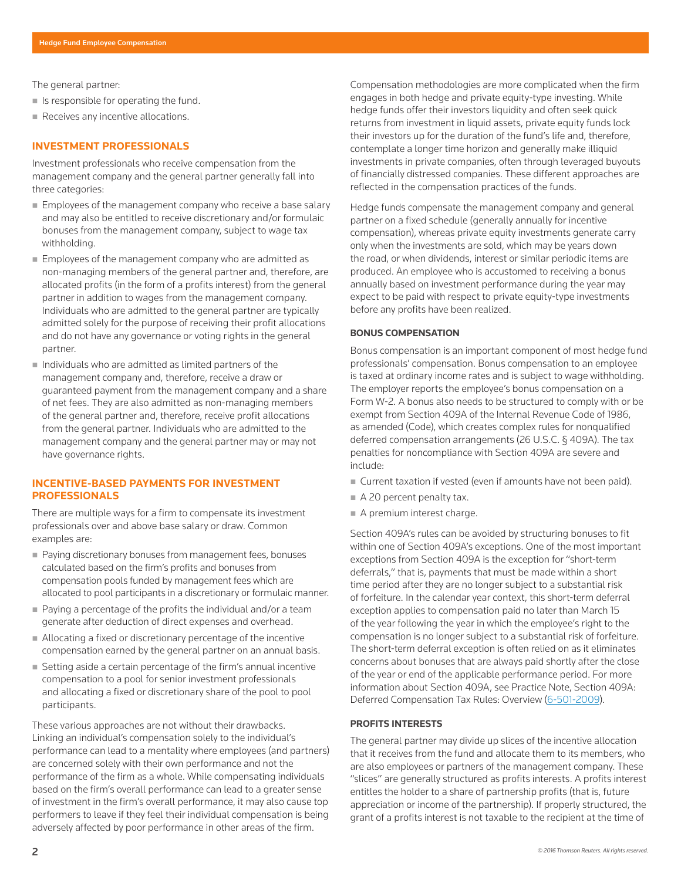The general partner:

- $\blacksquare$  Is responsible for operating the fund.
- Receives any incentive allocations.

### **INVESTMENT PROFESSIONALS**

Investment professionals who receive compensation from the management company and the general partner generally fall into three categories:

- **Employees of the management company who receive a base salary** and may also be entitled to receive discretionary and/or formulaic bonuses from the management company, subject to wage tax withholding.
- **Employees of the management company who are admitted as** non-managing members of the general partner and, therefore, are allocated profits (in the form of a profits interest) from the general partner in addition to wages from the management company. Individuals who are admitted to the general partner are typically admitted solely for the purpose of receiving their profit allocations and do not have any governance or voting rights in the general partner.
- $\blacksquare$  Individuals who are admitted as limited partners of the management company and, therefore, receive a draw or guaranteed payment from the management company and a share of net fees. They are also admitted as non-managing members of the general partner and, therefore, receive profit allocations from the general partner. Individuals who are admitted to the management company and the general partner may or may not have governance rights.

### **INCENTIVE-BASED PAYMENTS FOR INVESTMENT PROFESSIONALS**

There are multiple ways for a firm to compensate its investment professionals over and above base salary or draw. Common examples are:

- Paying discretionary bonuses from management fees, bonuses calculated based on the firm's profits and bonuses from compensation pools funded by management fees which are allocated to pool participants in a discretionary or formulaic manner.
- Paying a percentage of the profits the individual and/or a team generate after deduction of direct expenses and overhead.
- Allocating a fixed or discretionary percentage of the incentive compensation earned by the general partner on an annual basis.
- Setting aside a certain percentage of the firm's annual incentive compensation to a pool for senior investment professionals and allocating a fixed or discretionary share of the pool to pool participants.

These various approaches are not without their drawbacks. Linking an individual's compensation solely to the individual's performance can lead to a mentality where employees (and partners) are concerned solely with their own performance and not the performance of the firm as a whole. While compensating individuals based on the firm's overall performance can lead to a greater sense of investment in the firm's overall performance, it may also cause top performers to leave if they feel their individual compensation is being adversely affected by poor performance in other areas of the firm.

Compensation methodologies are more complicated when the firm engages in both hedge and private equity-type investing. While hedge funds offer their investors liquidity and often seek quick returns from investment in liquid assets, private equity funds lock their investors up for the duration of the fund's life and, therefore, contemplate a longer time horizon and generally make illiquid investments in private companies, often through leveraged buyouts of financially distressed companies. These different approaches are reflected in the compensation practices of the funds.

Hedge funds compensate the management company and general partner on a fixed schedule (generally annually for incentive compensation), whereas private equity investments generate carry only when the investments are sold, which may be years down the road, or when dividends, interest or similar periodic items are produced. An employee who is accustomed to receiving a bonus annually based on investment performance during the year may expect to be paid with respect to private equity-type investments before any profits have been realized.

#### **BONUS COMPENSATION**

Bonus compensation is an important component of most hedge fund professionals' compensation. Bonus compensation to an employee is taxed at ordinary income rates and is subject to wage withholding. The employer reports the employee's bonus compensation on a Form W-2. A bonus also needs to be structured to comply with or be exempt from Section 409A of the Internal Revenue Code of 1986, as amended (Code), which creates complex rules for nonqualified deferred compensation arrangements (26 U.S.C. § 409A). The tax penalties for noncompliance with Section 409A are severe and include:

- Current taxation if vested (even if amounts have not been paid).
- A 20 percent penalty tax.
- A premium interest charge.

Section 409A's rules can be avoided by structuring bonuses to fit within one of Section 409A's exceptions. One of the most important exceptions from Section 409A is the exception for "short-term deferrals," that is, payments that must be made within a short time period after they are no longer subject to a substantial risk of forfeiture. In the calendar year context, this short-term deferral exception applies to compensation paid no later than March 15 of the year following the year in which the employee's right to the compensation is no longer subject to a substantial risk of forfeiture. The short-term deferral exception is often relied on as it eliminates concerns about bonuses that are always paid shortly after the close of the year or end of the applicable performance period. For more information about Section 409A, see Practice Note, Section 409A: Deferred Compensation Tax Rules: Overview (6-501-2009).

#### **PROFITS INTERESTS**

The general partner may divide up slices of the incentive allocation that it receives from the fund and allocate them to its members, who are also employees or partners of the management company. These "slices" are generally structured as profits interests. A profits interest entitles the holder to a share of partnership profits (that is, future appreciation or income of the partnership). If properly structured, the grant of a profits interest is not taxable to the recipient at the time of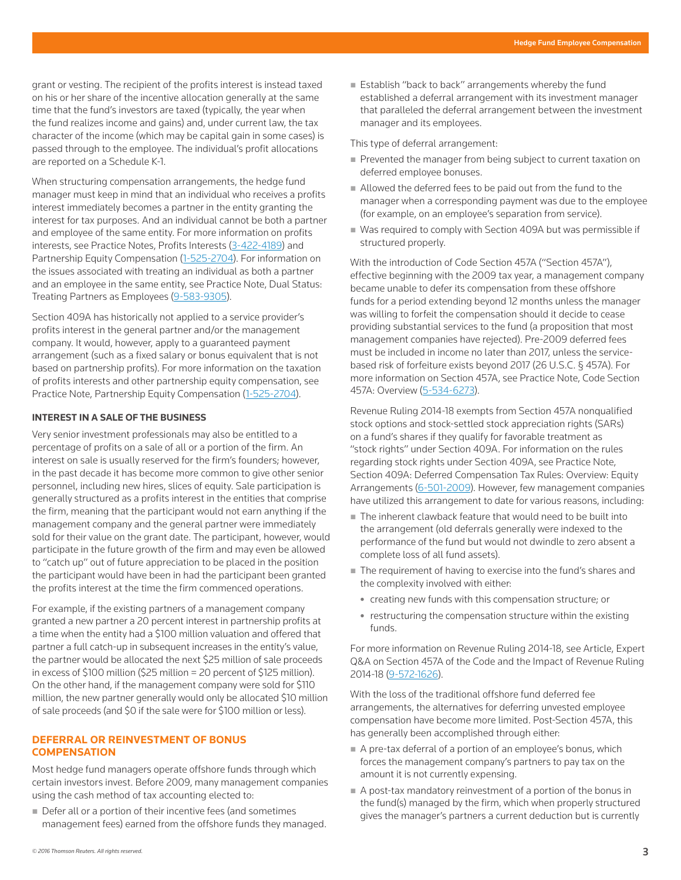grant or vesting. The recipient of the profits interest is instead taxed on his or her share of the incentive allocation generally at the same time that the fund's investors are taxed (typically, the year when the fund realizes income and gains) and, under current law, the tax character of the income (which may be capital gain in some cases) is passed through to the employee. The individual's profit allocations are reported on a Schedule K-1.

When structuring compensation arrangements, the hedge fund manager must keep in mind that an individual who receives a profits interest immediately becomes a partner in the entity granting the interest for tax purposes. And an individual cannot be both a partner and employee of the same entity. For more information on profits interests, see Practice Notes, Profits Interests (3-422-4189) and Partnership Equity Compensation (1-525-2704). For information on the issues associated with treating an individual as both a partner and an employee in the same entity, see Practice Note, Dual Status: Treating Partners as Employees (9-583-9305).

Section 409A has historically not applied to a service provider's profits interest in the general partner and/or the management company. It would, however, apply to a guaranteed payment arrangement (such as a fixed salary or bonus equivalent that is not based on partnership profits). For more information on the taxation of profits interests and other partnership equity compensation, see Practice Note, Partnership Equity Compensation (1-525-2704).

#### **INTEREST IN A SALE OF THE BUSINESS**

Very senior investment professionals may also be entitled to a percentage of profits on a sale of all or a portion of the firm. An interest on sale is usually reserved for the firm's founders; however, in the past decade it has become more common to give other senior personnel, including new hires, slices of equity. Sale participation is generally structured as a profits interest in the entities that comprise the firm, meaning that the participant would not earn anything if the management company and the general partner were immediately sold for their value on the grant date. The participant, however, would participate in the future growth of the firm and may even be allowed to "catch up" out of future appreciation to be placed in the position the participant would have been in had the participant been granted the profits interest at the time the firm commenced operations.

For example, if the existing partners of a management company granted a new partner a 20 percent interest in partnership profits at a time when the entity had a \$100 million valuation and offered that partner a full catch-up in subsequent increases in the entity's value, the partner would be allocated the next \$25 million of sale proceeds in excess of \$100 million (\$25 million = 20 percent of \$125 million). On the other hand, if the management company were sold for \$110 million, the new partner generally would only be allocated \$10 million of sale proceeds (and \$0 if the sale were for \$100 million or less).

## **DEFERRAL OR REINVESTMENT OF BONUS COMPENSATION**

Most hedge fund managers operate offshore funds through which certain investors invest. Before 2009, many management companies using the cash method of tax accounting elected to:

Defer all or a portion of their incentive fees (and sometimes management fees) earned from the offshore funds they managed. ■ Establish "back to back" arrangements whereby the fund established a deferral arrangement with its investment manager that paralleled the deferral arrangement between the investment manager and its employees.

This type of deferral arrangement:

- Prevented the manager from being subject to current taxation on deferred employee bonuses.
- Allowed the deferred fees to be paid out from the fund to the manager when a corresponding payment was due to the employee (for example, on an employee's separation from service).
- Was required to comply with Section 409A but was permissible if structured properly.

With the introduction of Code Section 457A ("Section 457A"), effective beginning with the 2009 tax year, a management company became unable to defer its compensation from these offshore funds for a period extending beyond 12 months unless the manager was willing to forfeit the compensation should it decide to cease providing substantial services to the fund (a proposition that most management companies have rejected). Pre-2009 deferred fees must be included in income no later than 2017, unless the servicebased risk of forfeiture exists beyond 2017 (26 U.S.C. § 457A). For more information on Section 457A, see Practice Note, Code Section 457A: Overview (5-534-6273).

Revenue Ruling 2014-18 exempts from Section 457A nonqualified stock options and stock-settled stock appreciation rights (SARs) on a fund's shares if they qualify for favorable treatment as "stock rights" under Section 409A. For information on the rules regarding stock rights under Section 409A, see Practice Note, Section 409A: Deferred Compensation Tax Rules: Overview: Equity Arrangements (6-501-2009). However, few management companies have utilized this arrangement to date for various reasons, including:

- The inherent clawback feature that would need to be built into the arrangement (old deferrals generally were indexed to the performance of the fund but would not dwindle to zero absent a complete loss of all fund assets).
- The requirement of having to exercise into the fund's shares and the complexity involved with either:
	- creating new funds with this compensation structure; or
	- restructuring the compensation structure within the existing funds.

For more information on Revenue Ruling 2014-18, see Article, Expert Q&A on Section 457A of the Code and the Impact of Revenue Ruling 2014-18 (9-572-1626).

With the loss of the traditional offshore fund deferred fee arrangements, the alternatives for deferring unvested employee compensation have become more limited. Post-Section 457A, this has generally been accomplished through either:

- A pre-tax deferral of a portion of an employee's bonus, which forces the management company's partners to pay tax on the amount it is not currently expensing.
- A post-tax mandatory reinvestment of a portion of the bonus in the fund(s) managed by the firm, which when properly structured gives the manager's partners a current deduction but is currently